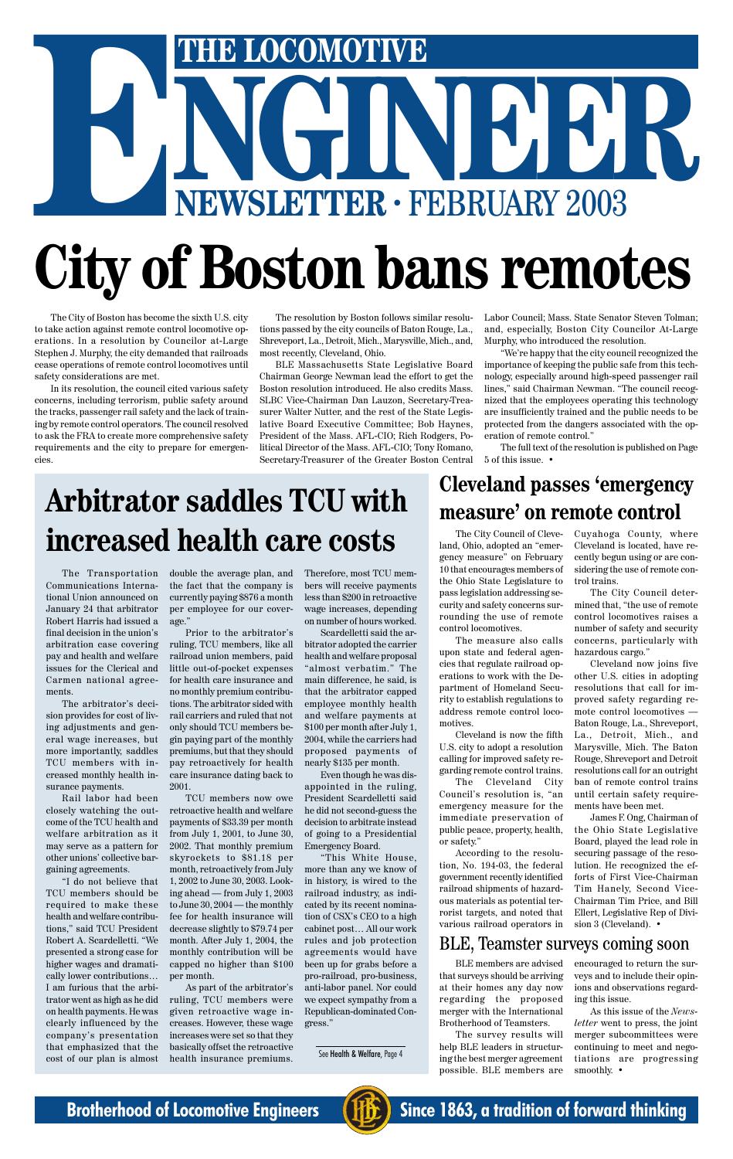The Transportation Communications International Union announced on January 24 that arbitrator Robert Harris had issued a final decision in the union's arbitration case covering pay and health and welfare issues for the Clerical and Carmen national agreements.

The arbitrator's decision provides for cost of living adjustments and general wage increases, but more importantly, saddles TCU members with increased monthly health insurance payments.

Rail labor had been closely watching the outcome of the TCU health and welfare arbitration as it may serve as a pattern for

other unions' collective bargaining agreements.

"I do not believe that TCU members should be required to make these health and welfare contributions," said TCU President Robert A. Scardelletti. "We presented a strong case for higher wages and dramatically lower contributions… I am furious that the arbitrator went as high as he did on health payments. He was clearly influenced by the company's presentation that emphasized that the cost of our plan is almost double the average plan, and the fact that the company is currently paying \$876 a month per employee for our coverage."

Prior to the arbitrator's ruling, TCU members, like all railroad union members, paid little out-of-pocket expenses for health care insurance and no monthly premium contributions. The arbitrator sided with rail carriers and ruled that not only should TCU members begin paying part of the monthly premiums, but that they should pay retroactively for health care insurance dating back to 2001.

# THE LOCOMOTIVE<br>
NEWSLETTER · FEBRUARY 2003 THE LOCOMOTIVE<br>
NEWSLETTER · FEBRUARY 2003 **City of Boston bans remotes**

TCU members now owe retroactive health and welfare payments of \$33.39 per month from July 1, 2001, to June 30, 2002. That monthly premium skyrockets to \$81.18 per month, retroactively from July 1, 2002 to June 30, 2003. Looking ahead — from July 1, 2003 to June 30, 2004 — the monthly fee for health insurance will decrease slightly to \$79.74 per month. After July 1, 2004, the monthly contribution will be capped no higher than \$100 per month. As part of the arbitrator's ruling, TCU members were given retroactive wage increases. However, these wage increases were set so that they basically offset the retroactive health insurance premiums.

Therefore, most TCU members will receive payments less than \$200 in retroactive wage increases, depending on number of hours worked.

Scardelletti said the arbitrator adopted the carrier health and welfare proposal "almost verbatim." The main difference, he said, is that the arbitrator capped employee monthly health and welfare payments at \$100 per month after July 1, 2004, while the carriers had proposed payments of nearly \$135 per month.

Even though he was disappointed in the ruling, President Scardelletti said he did not second-guess the decision to arbitrate instead of going to a Presidential Emergency Board.

"This White House, more than any we know of in history, is wired to the railroad industry, as indicated by its recent nomination of CSX's CEO to a high cabinet post… All our work rules and job protection agreements would have been up for grabs before a pro-railroad, pro-business, anti-labor panel. Nor could we expect sympathy from a Republican-dominated Congress."

James F. Ong, Chairman of the Ohio State Legislative Board, played the lead role in securing passage of the resolution. He recognized the efforts of First Vice-Chairman Tim Hanely, Second Vice-Chairman Tim Price, and Bill Ellert, Legislative Rep of Division 3 (Cleveland). •

The City of Boston has become the sixth U.S. city to take action against remote control locomotive operations. In a resolution by Councilor at-Large Stephen J. Murphy, the city demanded that railroads cease operations of remote control locomotives until safety considerations are met.

In its resolution, the council cited various safety concerns, including terrorism, public safety around the tracks, passenger rail safety and the lack of training by remote control operators. The council resolved to ask the FRA to create more comprehensive safety requirements and the city to prepare for emergencies.

The resolution by Boston follows similar resolutions passed by the city councils of Baton Rouge, La., Shreveport, La., Detroit, Mich., Marysville, Mich., and, most recently, Cleveland, Ohio.

BLE Massachusetts State Legislative Board Chairman George Newman lead the effort to get the Boston resolution introduced. He also credits Mass. SLBC Vice-Chairman Dan Lauzon, Secretary-Treasurer Walter Nutter, and the rest of the State Legislative Board Executive Committee; Bob Haynes, President of the Mass. AFL-CIO; Rich Rodgers, Political Director of the Mass. AFL-CIO; Tony Romano, Secretary-Treasurer of the Greater Boston Central Labor Council; Mass. State Senator Steven Tolman; and, especially, Boston City Councilor At-Large Murphy, who introduced the resolution.

"We're happy that the city council recognized the importance of keeping the public safe from this technology, especially around high-speed passenger rail lines," said Chairman Newman. "The council recognized that the employees operating this technology are insufficiently trained and the public needs to be protected from the dangers associated with the operation of remote control."

The full text of the resolution is published on Page 5 of this issue. •

The City Council of Cleveland, Ohio, adopted an "emergency measure" on February 10 that encourages members of the Ohio State Legislature to pass legislation addressing security and safety concerns surrounding the use of remote control locomotives.

The measure also calls upon state and federal agencies that regulate railroad operations to work with the Department of Homeland Security to establish regulations to address remote control locomotives.

Cleveland is now the fifth U.S. city to adopt a resolution calling for improved safety regarding remote control trains.

The Cleveland City Council's resolution is, "an emergency measure for the immediate preservation of public peace, property, health, or safety."

According to the resolution, No. 194-03, the federal government recently identified railroad shipments of hazardous materials as potential terrorist targets, and noted that various railroad operators in

### **Cleveland passes 'emergency measure' on remote control**

Cuyahoga County, where Cleveland is located, have recently begun using or are considering the use of remote control trains.

The City Council determined that, "the use of remote control locomotives raises a number of safety and security concerns, particularly with hazardous cargo."

Cleveland now joins five other U.S. cities in adopting resolutions that call for improved safety regarding remote control locomotives — Baton Rouge, La., Shreveport, La., Detroit, Mich., and Marysville, Mich. The Baton Rouge, Shreveport and Detroit resolutions call for an outright ban of remote control trains until certain safety requirements have been met.

# **Arbitrator saddles TCU with increased health care costs**

### BLE, Teamster surveys coming soon

See Health & Welfare, Page 4

BLE members are advised that surveys should be arriving at their homes any day now regarding the proposed merger with the International Brotherhood of Teamsters.

The survey results will help BLE leaders in structuring the best merger agreement possible. BLE members are encouraged to return the surveys and to include their opinions and observations regarding this issue.

As this issue of the *Newsletter* went to press, the joint merger subcommittees were continuing to meet and negotiations are progressing smoothly. •



**Brotherhood of Locomotive Engineers (HE)** Since 1863, a tradition of forward thinking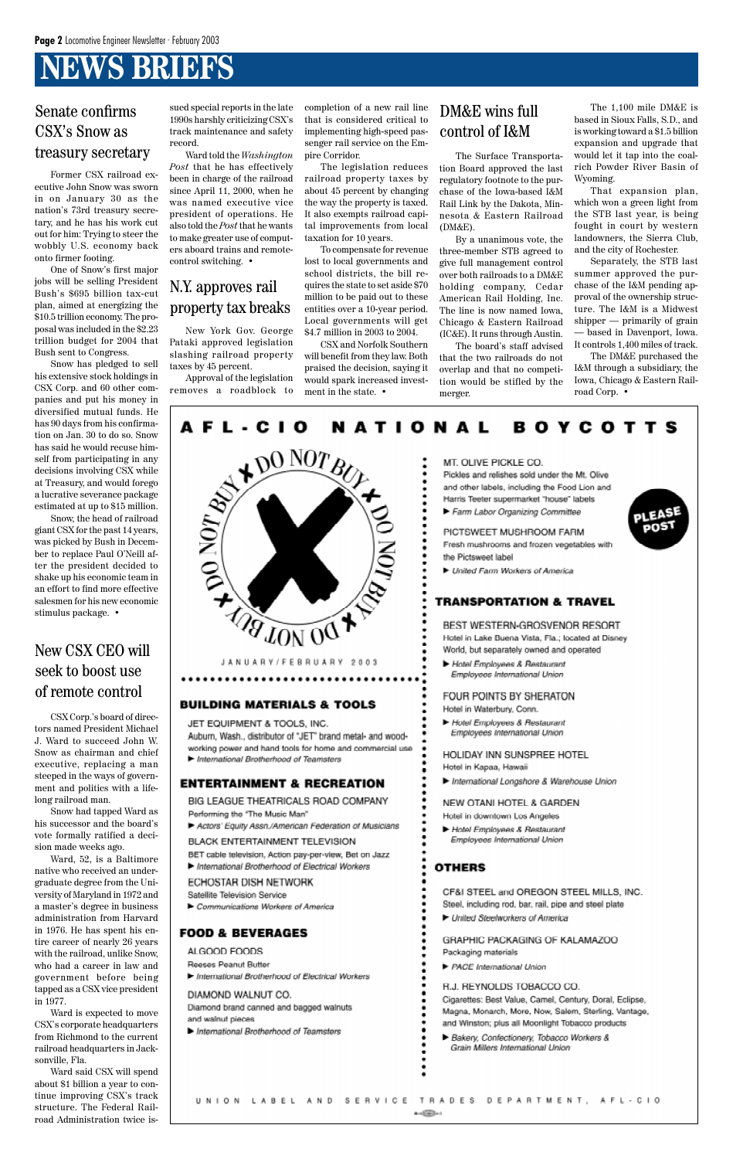# **NEWS BRIEFS**

### Senate confirms CSX's Snow as treasury secretary

Former CSX railroad executive John Snow was sworn in on January 30 as the nation's 73rd treasury secretary, and he has his work cut out for him: Trying to steer the wobbly U.S. economy back onto firmer footing.

One of Snow's first major jobs will be selling President Bush's \$695 billion tax-cut plan, aimed at energizing the \$10.5 trillion economy. The proposal was included in the \$2.23 trillion budget for 2004 that Bush sent to Congress.

Snow has pledged to sell his extensive stock holdings in CSX Corp. and 60 other companies and put his money in diversified mutual funds. He has 90 days from his confirmation on Jan. 30 to do so. Snow has said he would recuse himself from participating in any decisions involving CSX while at Treasury, and would forego a lucrative severance package estimated at up to \$15 million.

Snow, the head of railroad giant CSX for the past 14 years, was picked by Bush in December to replace Paul O'Neill after the president decided to shake up his economic team in an effort to find more effective salesmen for his new economic stimulus package. •

### New CSX CEO will seek to boost use of remote control

CSX Corp.'s board of directors named President Michael J. Ward to succeed John W. Snow as chairman and chief executive, replacing a man steeped in the ways of government and politics with a lifelong railroad man.

Snow had tapped Ward as his successor and the board's vote formally ratified a decision made weeks ago. Ward, 52, is a Baltimore native who received an undergraduate degree from the University of Maryland in 1972 and a master's degree in business administration from Harvard in 1976. He has spent his entire career of nearly 26 years with the railroad, unlike Snow, who had a career in law and government before being tapped as a CSX vice president in 1977. Ward is expected to move CSX's corporate headquarters from Richmond to the current railroad headquarters in Jacksonville, Fla. Ward said CSX will spend about \$1 billion a year to continue improving CSX's track structure. The Federal Railroad Administration twice issued special reports in the late 1990s harshly criticizing CSX's track maintenance and safety record.

Ward told the *Washington Post* that he has effectively been in charge of the railroad since April 11, 2000, when he was named executive vice president of operations. He also told the *Post* that he wants to make greater use of computers aboard trains and remotecontrol switching. •

### N.Y. approves rail property tax breaks

New York Gov. George Pataki approved legislation slashing railroad property taxes by 45 percent.

Approval of the legislation removes a roadblock to completion of a new rail line that is considered critical to implementing high-speed passenger rail service on the Empire Corridor.

The legislation reduces railroad property taxes by about 45 percent by changing the way the property is taxed. It also exempts railroad capital improvements from local taxation for 10 years.

To compensate for revenue lost to local governments and school districts, the bill requires the state to set aside \$70 million to be paid out to these entities over a 10-year period. Local governments will get \$4.7 million in 2003 to 2004.

CSX and Norfolk Southern will benefit from they law. Both praised the decision, saying it would spark increased investment in the state. •

### DM&E wins full control of I&M

The Surface Transportation Board approved the last regulatory footnote to the purchase of the Iowa-based I&M Rail Link by the Dakota, Minnesota & Eastern Railroad (DM&E).

By a unanimous vote, the three-member STB agreed to give full management control over both railroads to a DM&E holding company, Cedar American Rail Holding, Inc. The line is now named Iowa, Chicago & Eastern Railroad (IC&E). It runs through Austin.

The board's staff advised that the two railroads do not overlap and that no competition would be stifled by the merger.

The 1,100 mile DM&E is based in Sioux Falls, S.D., and is working toward a \$1.5 billion expansion and upgrade that would let it tap into the coalrich Powder River Basin of Wyoming.

That expansion plan, which won a green light from the STB last year, is being fought in court by western landowners, the Sierra Club, and the city of Rochester.

Separately, the STB last summer approved the purchase of the I&M pending approval of the ownership structure. The I&M is a Midwest shipper — primarily of grain — based in Davenport, Iowa. It controls 1,400 miles of track.

The DM&E purchased the I&M through a subsidiary, the Iowa, Chicago & Eastern Railroad Corp. •

#### AFL-CIO **NATIONAL BOYCOTTS**



JANUARY/FEBRUARY 2003

#### **BUILDING MATERIALS & TOOLS**

JET EQUIPMENT & TOOLS, INC.

Aubum, Wash., distributor of "JET" brand metal- and woodworking power and hand tools for home and commercial use International Brotherhood of Teamsters

#### **ENTERTAINMENT & RECREATION**

BIG LEAGUE THEATRICALS ROAD COMPANY Performing the "The Music Man"

Actors' Equity Assn./American Federation of Musicians **BLACK ENTERTAINMENT TELEVISION** 

MT. OLIVE PICKLE CO.

Pickles and relishes sold under the Mt. Olive and other labels, including the Food Lion and Harris Teeter supermarket "house" labels Farm Labor Organizing Committee

PICTSWEET MUSHROOM FARM Fresh mushrooms and frozen vegetables with the Pictsweet label

United Farm Workers of America

#### **TRANSPORTATION & TRAVEL**

BEST WESTERN-GROSVENOR RESORT Hotel in Lake Buena Vista, Fla.; located at Disney World, but separately owned and operated

Hotel Employees & Restaurant Employees International Union

FOUR POINTS BY SHERATON

Hotel in Waterbury, Conn.

Hotel Employees & Restaurant Employees International Union

HOLIDAY INN SUNSPREE HOTEL Hotel in Kapaa, Hawaii

International Longshore & Warehouse Union

NEW OTANI HOTEL & GARDEN Hotel in downtown Los Angeles

Hotel Employees & Restaurant Employees International Union



BET cable television, Action pay-per-view, Bet on Jazz

International Brotherhood of Electrical Workers

ECHOSTAR DISH NETWORK Satellite Television Service

Communications Workers of America

#### **FOOD & BEVERAGES**

#### ALGOOD FOODS

Reeses Peanut Butter

International Brotherhood of Electrical Workers

#### DIAMOND WALNUT CO.

International Brotherhood of Teamsters

#### **OTHERS**

| CHOSTAR DISH NETWORK<br>atellite Television Service<br>Communications Workers of America | CF&I STEEL and OREGON STEEL MILLS, INC.<br>Steel, including rod, bar, rail, pipe and steel plate<br>• United Steelworkers of America                                |
|------------------------------------------------------------------------------------------|---------------------------------------------------------------------------------------------------------------------------------------------------------------------|
| OD & BEVERAGES                                                                           | GRAPHIC PACKAGING OF KALAMAZOO                                                                                                                                      |
| LGOOD FOODS                                                                              | Packaging materials                                                                                                                                                 |
| eeses Peanut Butter.<br>International Brotherhood of Electrical Workers                  | $\blacktriangleright$ PACE International Union                                                                                                                      |
| IAMOND WALNUT CO.                                                                        | R.J. REYNOLDS TOBACCO CO.                                                                                                                                           |
| amond brand canned and bagged walnuts<br>d walnut pieces                                 | Cigarettes: Best Value, Camel, Century, Doral, Eclipse,<br>Magna, Monarch, More, Now, Salem, Sterling, Vantage,<br>and Winston; plus all Moonlight Tobacco products |
| International Brotherhood of Teamsters                                                   | Bakery, Confectionery, Tobacco Workers &<br>Grain Millers International Union                                                                                       |
|                                                                                          |                                                                                                                                                                     |
| $V + C E$<br>AND<br>O N.                                                                 | TRADES<br>DEPARTMENT.<br>$A F L - C I O$<br>and and the first party                                                                                                 |
|                                                                                          |                                                                                                                                                                     |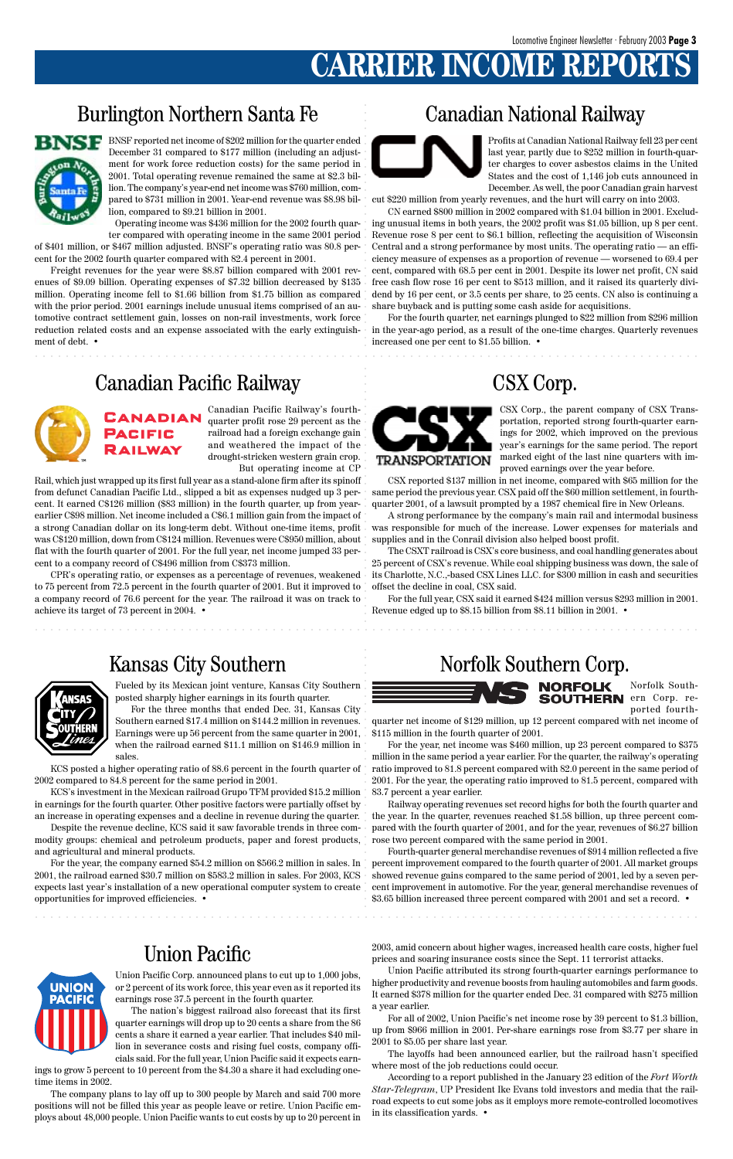# **CARRIER INCOME REPO**

### Burlington Northern Santa Fe

aaaaaaaaaaaaaaaaaaaaaaaaaaaaaaaaaaaaaaaaaaaaaaaaaaaaaaaaaaaaaaaaaaaaaaaaaaaaaaaaaaaaaaa

.<br>.<br>.<br>.

### Canadian National Railway

aaaaaaaaaaaaaaaaaaaaaaaaaaaaaaaaaaaaaaaaaaaaaaaaaaaaaaaaaaaaaaaaaaaaaaaaaaaaaaaaaaaaaaa

aaaaaaaaaaaaaaaaaaaaaaaaaaaaaaaaaaaaaaaaaaaaaaaaaaaaaaaaaaaaaaaaaaaaaaaaaaaaaaaaaaaaaaa

.<br>.<br>.<br>.

### Union Pacific

UNION **PACIFIC**  aaaaaaaaaaaaaaaaaaaaaaaaa

aaaaaaaaaaaaaaaaaaaaaaaaaaaa

.<br>.<br>.<br>.<br>.

aaaaaaaaaaaaaaaaaaaaaaaaaaaaa

Canadian Pacific Railway's fourthquarter profit rose 29 percent as the railroad had a foreign exchange gain and weathered the impact of the drought-stricken western grain crop. But operating income at CP

Rail, which just wrapped up its first full year as a stand-alone firm after its spinoff from defunct Canadian Pacific Ltd., slipped a bit as expenses nudged up 3 percent. It earned C\$126 million (\$83 million) in the fourth quarter, up from yearearlier C\$98 million. Net income included a C\$6.1 million gain from the impact of a strong Canadian dollar on its long-term debt. Without one-time items, profit was C\$120 million, down from C\$124 million. Revenues were C\$950 million, about flat with the fourth quarter of 2001. For the full year, net income jumped 33 percent to a company record of C\$496 million from C\$373 million.

RAILWAY

CPR's operating ratio, or expenses as a percentage of revenues, weakened to 75 percent from 72.5 percent in the fourth quarter of 2001. But it improved to a company record of 76.6 percent for the year. The railroad it was on track to achieve its target of 73 percent in 2004. •

CSX Corp., the parent company of CSX Transportation, reported strong fourth-quarter earnings for 2002, which improved on the previous year's earnings for the same period. The report marked eight of the last nine quarters with improved earnings over the year before.

CSX reported \$137 million in net income, compared with \$65 million for the same period the previous year. CSX paid off the \$60 million settlement, in fourthquarter 2001, of a lawsuit prompted by a 1987 chemical fire in New Orleans.

A strong performance by the company's main rail and intermodal business was responsible for much of the increase. Lower expenses for materials and supplies and in the Conrail division also helped boost profit.

The CSXT railroad is CSX's core business, and coal handling generates about 25 percent of CSX's revenue. While coal shipping business was down, the sale of its Charlotte, N.C.,-based CSX Lines LLC. for \$300 million in cash and securities offset the decline in coal, CSX said.

For the year, the company earned \$54.2 million on \$566.2 million in sales. In 2001, the railroad earned \$30.7 million on \$583.2 million in sales. For 2003, KCS expects last year's installation of a new operational computer system to create opportunities for improved efficiencies. •

For the full year, CSX said it earned \$424 million versus \$293 million in 2001. Revenue edged up to \$8.15 billion from \$8.11 billion in 2001. •



Profits at Canadian National Railway fell 23 per cent last year, partly due to \$252 million in fourth-quarter charges to cover asbestos claims in the United States and the cost of 1,146 job cuts announced in December. As well, the poor Canadian grain harvest

cut \$220 million from yearly revenues, and the hurt will carry on into 2003.

CN earned \$800 million in 2002 compared with \$1.04 billion in 2001. Excluding unusual items in both years, the 2002 profit was \$1.05 billion, up 8 per cent. Revenue rose 8 per cent to \$6.1 billion, reflecting the acquisition of Wisconsin Central and a strong performance by most units. The operating ratio — an efficiency measure of expenses as a proportion of revenue — worsened to 69.4 per cent, compared with 68.5 per cent in 2001. Despite its lower net profit, CN said free cash flow rose 16 per cent to \$513 million, and it raised its quarterly dividend by 16 per cent, or 3.5 cents per share, to 25 cents. CN also is continuing a share buyback and is putting some cash aside for acquisitions.

For the fourth quarter, net earnings plunged to \$22 million from \$296 million in the year-ago period, as a result of the one-time charges. Quarterly revenues increased one per cent to \$1.55 billion. •



Fueled by its Mexican joint venture, Kansas City Southern posted sharply higher earnings in its fourth quarter.

For the three months that ended Dec. 31, Kansas City Southern earned \$17.4 million on \$144.2 million in revenues. Earnings were up 56 percent from the same quarter in 2001, when the railroad earned \$11.1 million on \$146.9 million in sales.

KCS posted a higher operating ratio of 88.6 percent in the fourth quarter of 2002 compared to 84.8 percent for the same period in 2001.

KCS's investment in the Mexican railroad Grupo TFM provided \$15.2 million in earnings for the fourth quarter. Other positive factors were partially offset by an increase in operating expenses and a decline in revenue during the quarter.

Despite the revenue decline, KCS said it saw favorable trends in three commodity groups: chemical and petroleum products, paper and forest products, and agricultural and mineral products.

### Kansas City Southern Norfolk Southern Corp.



Norfolk South-**SOUTHERN** ern Corp. reported fourth-

quarter net income of \$129 million, up 12 percent compared with net income of \$115 million in the fourth quarter of 2001.

For the year, net income was \$460 million, up 23 percent compared to \$375 million in the same period a year earlier. For the quarter, the railway's operating ratio improved to 81.8 percent compared with 82.0 percent in the same period of 2001. For the year, the operating ratio improved to 81.5 percent, compared with 83.7 percent a year earlier.

Railway operating revenues set record highs for both the fourth quarter and the year. In the quarter, revenues reached \$1.58 billion, up three percent compared with the fourth quarter of 2001, and for the year, revenues of \$6.27 billion rose two percent compared with the same period in 2001.

Fourth-quarter general merchandise revenues of \$914 million reflected a five percent improvement compared to the fourth quarter of 2001. All market groups showed revenue gains compared to the same period of 2001, led by a seven percent improvement in automotive. For the year, general merchandise revenues of \$3.65 billion increased three percent compared with 2001 and set a record. •

Union Pacific Corp. announced plans to cut up to 1,000 jobs, or 2 percent of its work force, this year even as it reported its earnings rose 37.5 percent in the fourth quarter.

The nation's biggest railroad also forecast that its first quarter earnings will drop up to 20 cents a share from the 86 cents a share it earned a year earlier. That includes \$40 million in severance costs and rising fuel costs, company officials said. For the full year, Union Pacific said it expects earn-

ings to grow 5 percent to 10 percent from the \$4.30 a share it had excluding onetime items in 2002.

The company plans to lay off up to 300 people by March and said 700 more positions will not be filled this year as people leave or retire. Union Pacific employs about 48,000 people. Union Pacific wants to cut costs by up to 20 percent in 2003, amid concern about higher wages, increased health care costs, higher fuel prices and soaring insurance costs since the Sept. 11 terrorist attacks.

Union Pacific attributed its strong fourth-quarter earnings performance to higher productivity and revenue boosts from hauling automobiles and farm goods. It earned \$378 million for the quarter ended Dec. 31 compared with \$275 million a year earlier.

For all of 2002, Union Pacific's net income rose by 39 percent to \$1.3 billion, up from \$966 million in 2001. Per-share earnings rose from \$3.77 per share in 2001 to \$5.05 per share last year.

The layoffs had been announced earlier, but the railroad hasn't specified where most of the job reductions could occur.

According to a report published in the January 23 edition of the *Fort Worth Star-Telegram*, UP President Ike Evans told investors and media that the railroad expects to cut some jobs as it employs more remote-controlled locomotives in its classification yards. •



Operating income was \$436 million for the 2002 fourth quar-

ter compared with operating income in the same 2001 period of \$401 million, or \$467 million adjusted. BNSF's operating ratio was 80.8 percent for the 2002 fourth quarter compared with 82.4 percent in 2001.

Freight revenues for the year were \$8.87 billion compared with 2001 revenues of \$9.09 billion. Operating expenses of \$7.32 billion decreased by \$135 million. Operating income fell to \$1.66 billion from \$1.75 billion as compared with the prior period. 2001 earnings include unusual items comprised of an automotive contract settlement gain, losses on non-rail investments, work force reduction related costs and an expense associated with the early extinguishment of debt. •

### Canadian Pacific Railway CSX Corp.

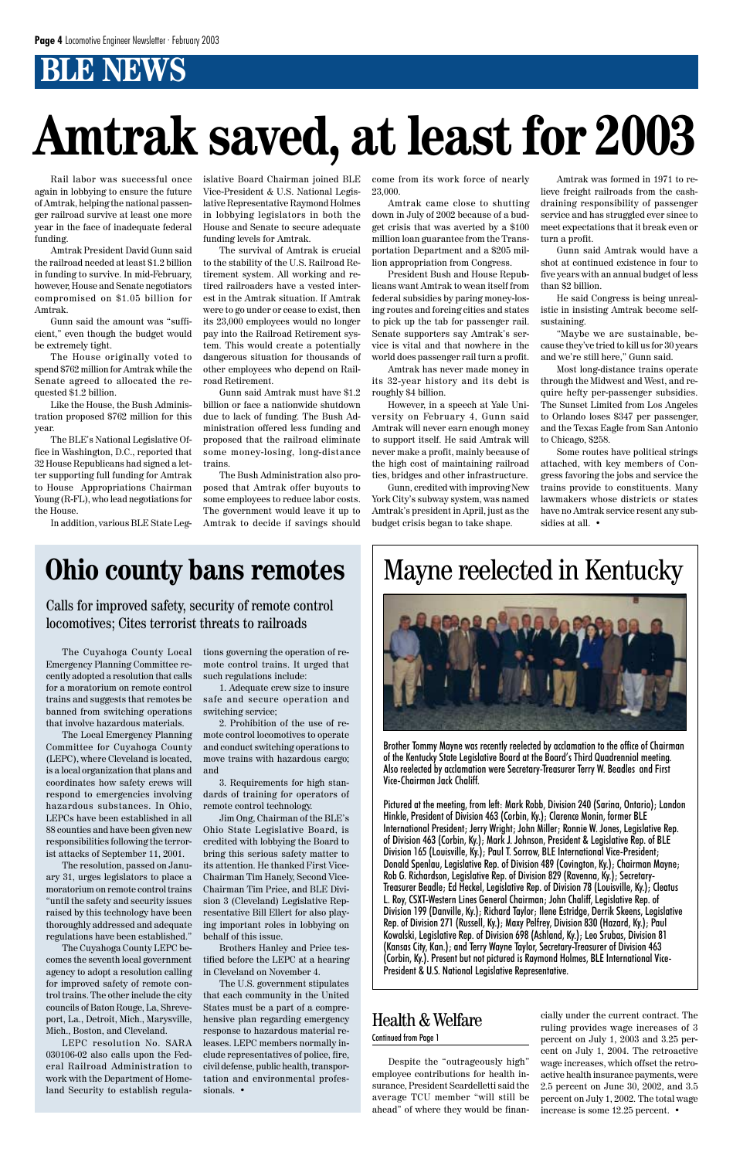# **BLE NEWS**

Rail labor was successful once again in lobbying to ensure the future of Amtrak, helping the national passenger railroad survive at least one more year in the face of inadequate federal funding.

Amtrak President David Gunn said the railroad needed at least \$1.2 billion in funding to survive. In mid-February, however, House and Senate negotiators compromised on \$1.05 billion for Amtrak.

Gunn said the amount was "sufficient," even though the budget would be extremely tight.

The House originally voted to spend \$762 million for Amtrak while the Senate agreed to allocated the requested \$1.2 billion.

Like the House, the Bush Administration proposed \$762 million for this year.

The BLE's National Legislative Office in Washington, D.C., reported that 32 House Republicans had signed a letter supporting full funding for Amtrak to House Appropriations Chairman Young (R-FL), who lead negotiations for the House.

In addition, various BLE State Leg-

islative Board Chairman joined BLE Vice-President & U.S. National Legislative Representative Raymond Holmes in lobbying legislators in both the House and Senate to secure adequate funding levels for Amtrak.

The survival of Amtrak is crucial to the stability of the U.S. Railroad Retirement system. All working and retired railroaders have a vested interest in the Amtrak situation. If Amtrak were to go under or cease to exist, then its 23,000 employees would no longer pay into the Railroad Retirement system. This would create a potentially dangerous situation for thousands of other employees who depend on Railroad Retirement.

Gunn said Amtrak must have \$1.2 billion or face a nationwide shutdown due to lack of funding. The Bush Administration offered less funding and proposed that the railroad eliminate some money-losing, long-distance trains.

Some routes have political strings attached, with key members of Congress favoring the jobs and service the trains provide to constituents. Many lawmakers whose districts or states have no Amtrak service resent any subsidies at all.  $\cdot$ 

The Bush Administration also proposed that Amtrak offer buyouts to some employees to reduce labor costs. The government would leave it up to Amtrak to decide if savings should come from its work force of nearly 23,000.

Amtrak came close to shutting down in July of 2002 because of a budget crisis that was averted by a \$100 million loan guarantee from the Transportation Department and a \$205 million appropriation from Congress.

President Bush and House Republicans want Amtrak to wean itself from federal subsidies by paring money-losing routes and forcing cities and states to pick up the tab for passenger rail. Senate supporters say Amtrak's service is vital and that nowhere in the world does passenger rail turn a profit.

Amtrak has never made money in its 32-year history and its debt is roughly \$4 billion.

However, in a speech at Yale University on February 4, Gunn said Amtrak will never earn enough money to support itself. He said Amtrak will never make a profit, mainly because of the high cost of maintaining railroad ties, bridges and other infrastructure.

Gunn, credited with improving New York City's subway system, was named Amtrak's president in April, just as the budget crisis began to take shape.

Amtrak was formed in 1971 to relieve freight railroads from the cashdraining responsibility of passenger service and has struggled ever since to meet expectations that it break even or turn a profit.

Gunn said Amtrak would have a shot at continued existence in four to five years with an annual budget of less than \$2 billion.

He said Congress is being unrealistic in insisting Amtrak become selfsustaining.

"Maybe we are sustainable, because they've tried to kill us for 30 years and we're still here," Gunn said.

Most long-distance trains operate through the Midwest and West, and require hefty per-passenger subsidies. The Sunset Limited from Los Angeles to Orlando loses \$347 per passenger, and the Texas Eagle from San Antonio to Chicago, \$258.

# **Amtrak saved, at least for 2003**

The Cuyahoga County Local Emergency Planning Committee recently adopted a resolution that calls for a moratorium on remote control trains and suggests that remotes be banned from switching operations that involve hazardous materials.

The Local Emergency Planning Committee for Cuyahoga County (LEPC), where Cleveland is located, is a local organization that plans and coordinates how safety crews will respond to emergencies involving hazardous substances. In Ohio, LEPCs have been established in all 88 counties and have been given new responsibilities following the terror-

#### ist attacks of September 11, 2001.

The resolution, passed on January 31, urges legislators to place a moratorium on remote control trains "until the safety and security issues raised by this technology have been thoroughly addressed and adequate regulations have been established."

The Cuyahoga County LEPC becomes the seventh local government agency to adopt a resolution calling for improved safety of remote control trains. The other include the city councils of Baton Rouge, La, Shreveport, La., Detroit, Mich., Marysville, Mich., Boston, and Cleveland.

LEPC resolution No. SARA 030106-02 also calls upon the Federal Railroad Administration to work with the Department of Homeland Security to establish regulations governing the operation of remote control trains. It urged that such regulations include:

1. Adequate crew size to insure safe and secure operation and switching service;

2. Prohibition of the use of remote control locomotives to operate and conduct switching operations to move trains with hazardous cargo; and

3. Requirements for high standards of training for operators of remote control technology.

Jim Ong, Chairman of the BLE's Ohio State Legislative Board, is credited with lobbying the Board to bring this serious safety matter to its attention. He thanked First Vice-Chairman Tim Hanely, Second Vice-Chairman Tim Price, and BLE Division 3 (Cleveland) Legislative Representative Bill Ellert for also playing important roles in lobbying on behalf of this issue.

Brothers Hanley and Price testified before the LEPC at a hearing in Cleveland on November 4.

The U.S. government stipulates that each community in the United States must be a part of a comprehensive plan regarding emergency response to hazardous material releases. LEPC members normally include representatives of police, fire, civil defense, public health, transportation and environmental professionals. •

# **Ohio county bans remotes**

Calls for improved safety, security of remote control locomotives; Cites terrorist threats to railroads

# Mayne reelected in Kentucky



Brother Tommy Mayne was recently reelected by acclamation to the office of Chairman of the Kentucky State Legislative Board at the Board's Third Quadrennial meeting. Also reelected by acclamation were Secretary-Treasurer Terry W. Beadles and First Vice-Chairman Jack Chaliff.

Pictured at the meeting, from left: Mark Robb, Division 240 (Sarina, Ontario); Landon Hinkle, President of Division 463 (Corbin, Ky.); Clarence Monin, former BLE International President; Jerry Wright; John Miller; Ronnie W. Jones, Legislative Rep. of Division 463 (Corbin, Ky.); Mark J. Johnson, President & Legislative Rep. of BLE Division 165 (Louisville, Ky.); Paul T. Sorrow, BLE International Vice-President; Donald Spenlau, Legislative Rep. of Division 489 (Covington, Ky.); Chairman Mayne; Rob G. Richardson, Legislative Rep. of Division 829 (Ravenna, Ky.); Secretary-Treasurer Beadle; Ed Heckel, Legislative Rep. of Division 78 (Louisville, Ky.); Cleatus L. Roy, CSXT-Western Lines General Chairman; John Chaliff, Legislative Rep. of Division 199 (Danville, Ky.); Richard Taylor; Ilene Estridge, Derrik Skeens, Legislative Rep. of Division 271 (Russell, Ky.); Maxy Pelfrey, Division 830 (Hazard, Ky.); Paul Kowalski, Legislative Rep. of Division 698 (Ashland, Ky.); Leo Srubas, Division 81 (Kansas City, Kan.); and Terry Wayne Taylor, Secretary-Treasurer of Division 463 (Corbin, Ky.). Present but not pictured is Raymond Holmes, BLE International Vice-President & U.S. National Legislative Representative.

Despite the "outrageously high" employee contributions for health insurance, President Scardelletti said the average TCU member "will still be ahead" of where they would be financially under the current contract. The ruling provides wage increases of 3 percent on July 1, 2003 and 3.25 percent on July 1, 2004. The retroactive wage increases, which offset the retroactive health insurance payments, were 2.5 percent on June 30, 2002, and 3.5 percent on July 1, 2002. The total wage increase is some 12.25 percent. •

### Health & Welfare

#### Continued from Page 1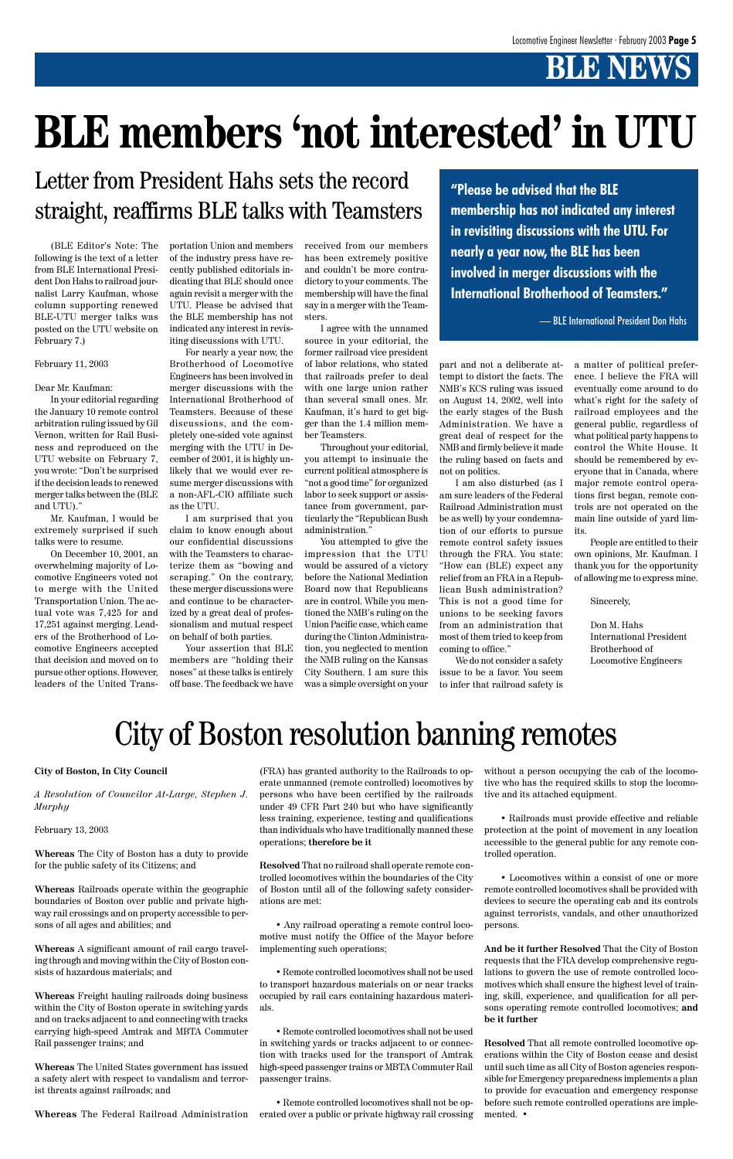# **BLE NEWS**

(BLE Editor's Note: The following is the text of a letter from BLE International President Don Hahs to railroad journalist Larry Kaufman, whose column supporting renewed BLE-UTU merger talks was posted on the UTU website on February 7.)

#### February 11, 2003

#### Dear Mr. Kaufman:

In your editorial regarding the January 10 remote control arbitration ruling issued by Gil Vernon, written for Rail Business and reproduced on the UTU website on February 7, you wrote: "Don't be surprised if the decision leads to renewed merger talks between the (BLE and UTU)."

Mr. Kaufman, I would be extremely surprised if such talks were to resume.

On December 10, 2001, an overwhelming majority of Locomotive Engineers voted not to merge with the United Transportation Union. The actual vote was 7,425 for and 17,251 against merging. Leaders of the Brotherhood of Locomotive Engineers accepted that decision and moved on to pursue other options. However, leaders of the United Transportation Union and members of the industry press have recently published editorials indicating that BLE should once again revisit a merger with the UTU. Please be advised that the BLE membership has not indicated any interest in revisiting discussions with UTU.

For nearly a year now, the Brotherhood of Locomotive Engineers has been involved in merger discussions with the International Brotherhood of Teamsters. Because of these discussions, and the completely one-sided vote against merging with the UTU in December of 2001, it is highly unlikely that we would ever resume merger discussions with a non-AFL-CIO affiliate such as the UTU.

I am surprised that you claim to know enough about our confidential discussions with the Teamsters to characterize them as "bowing and scraping." On the contrary, these merger discussions were and continue to be characterized by a great deal of professionalism and mutual respect on behalf of both parties.

Your assertion that BLE members are "holding their noses" at these talks is entirely off base. The feedback we have

received from our members has been extremely positive and couldn't be more contradictory to your comments. The membership will have the final say in a merger with the Teamsters.

I agree with the unnamed source in your editorial, the former railroad vice president of labor relations, who stated that railroads prefer to deal with one large union rather than several small ones. Mr. Kaufman, it's hard to get bigger than the 1.4 million member Teamsters.

Throughout your editorial, you attempt to insinuate the current political atmosphere is "not a good time" for organized labor to seek support or assistance from government, particularly the "Republican Bush administration."

You attempted to give the impression that the UTU would be assured of a victory before the National Mediation Board now that Republicans are in control. While you mentioned the NMB's ruling on the Union Pacific case, which came during the Clinton Administration, you neglected to mention the NMB ruling on the Kansas City Southern. I am sure this was a simple oversight on your

part and not a deliberate attempt to distort the facts. The NMB's KCS ruling was issued on August 14, 2002, well into the early stages of the Bush Administration. We have a great deal of respect for the NMB and firmly believe it made the ruling based on facts and not on politics.

I am also disturbed (as I am sure leaders of the Federal Railroad Administration must be as well) by your condemnation of our efforts to pursue remote control safety issues through the FRA. You state: "How can (BLE) expect any relief from an FRA in a Republican Bush administration? This is not a good time for unions to be seeking favors from an administration that most of them tried to keep from coming to office."

We do not consider a safety issue to be a favor. You seem to infer that railroad safety is a matter of political preference. I believe the FRA will eventually come around to do what's right for the safety of railroad employees and the general public, regardless of what political party happens to control the White House. It should be remembered by everyone that in Canada, where major remote control operations first began, remote controls are not operated on the main line outside of yard limits.

People are entitled to their own opinions, Mr. Kaufman. I thank you for the opportunity of allowing me to express mine.

Sincerely,

Don M. Hahs International President Brotherhood of Locomotive Engineers

# **BLE members 'not interested' in UTU**

### Letter from President Hahs sets the record straight, reaffirms BLE talks with Teamsters

**"Please be advised that the BLE membership has not indicated any interest in revisiting discussions with the UTU. For nearly a year now, the BLE has been involved in merger discussions with the International Brotherhood of Teamsters."**

— BLE International President Don Hahs

#### **City of Boston, In City Council**

*A Resolution of Councilor At-Large, Stephen J. Murphy*

February 13, 2003

**Whereas** The City of Boston has a duty to provide for the public safety of its Citizens; and

**Whereas** Railroads operate within the geographic boundaries of Boston over public and private highway rail crossings and on property accessible to persons of all ages and abilities; and

**Whereas** A significant amount of rail cargo traveling through and moving within the City of Boston consists of hazardous materials; and

**Whereas** Freight hauling railroads doing business within the City of Boston operate in switching yards and on tracks adjacent to and connecting with tracks carrying high-speed Amtrak and MBTA Commuter Rail passenger trains; and

**Whereas** The United States government has issued a safety alert with respect to vandalism and terrorist threats against railroads; and

**Whereas** The Federal Railroad Administration

(FRA) has granted authority to the Railroads to operate unmanned (remote controlled) locomotives by persons who have been certified by the railroads under 49 CFR Part 240 but who have significantly less training, experience, testing and qualifications than individuals who have traditionally manned these operations; **therefore be it**

**Resolved** That no railroad shall operate remote controlled locomotives within the boundaries of the City of Boston until all of the following safety considerations are met:

• Any railroad operating a remote control locomotive must notify the Office of the Mayor before implementing such operations;

• Remote controlled locomotives shall not be used to transport hazardous materials on or near tracks occupied by rail cars containing hazardous materials.

• Remote controlled locomotives shall not be used in switching yards or tracks adjacent to or connection with tracks used for the transport of Amtrak high-speed passenger trains or MBTA Commuter Rail passenger trains.

• Remote controlled locomotives shall not be operated over a public or private highway rail crossing without a person occupying the cab of the locomotive who has the required skills to stop the locomotive and its attached equipment.

• Railroads must provide effective and reliable protection at the point of movement in any location accessible to the general public for any remote con-

trolled operation.

• Locomotives within a consist of one or more remote controlled locomotives shall be provided with devices to secure the operating cab and its controls against terrorists, vandals, and other unauthorized persons.

**And be it further Resolved** That the City of Boston requests that the FRA develop comprehensive regulations to govern the use of remote controlled locomotives which shall ensure the highest level of training, skill, experience, and qualification for all persons operating remote controlled locomotives; **and be it further**

**Resolved** That all remote controlled locomotive operations within the City of Boston cease and desist until such time as all City of Boston agencies responsible for Emergency preparedness implements a plan to provide for evacuation and emergency response before such remote controlled operations are implemented. •

# City of Boston resolution banning remotes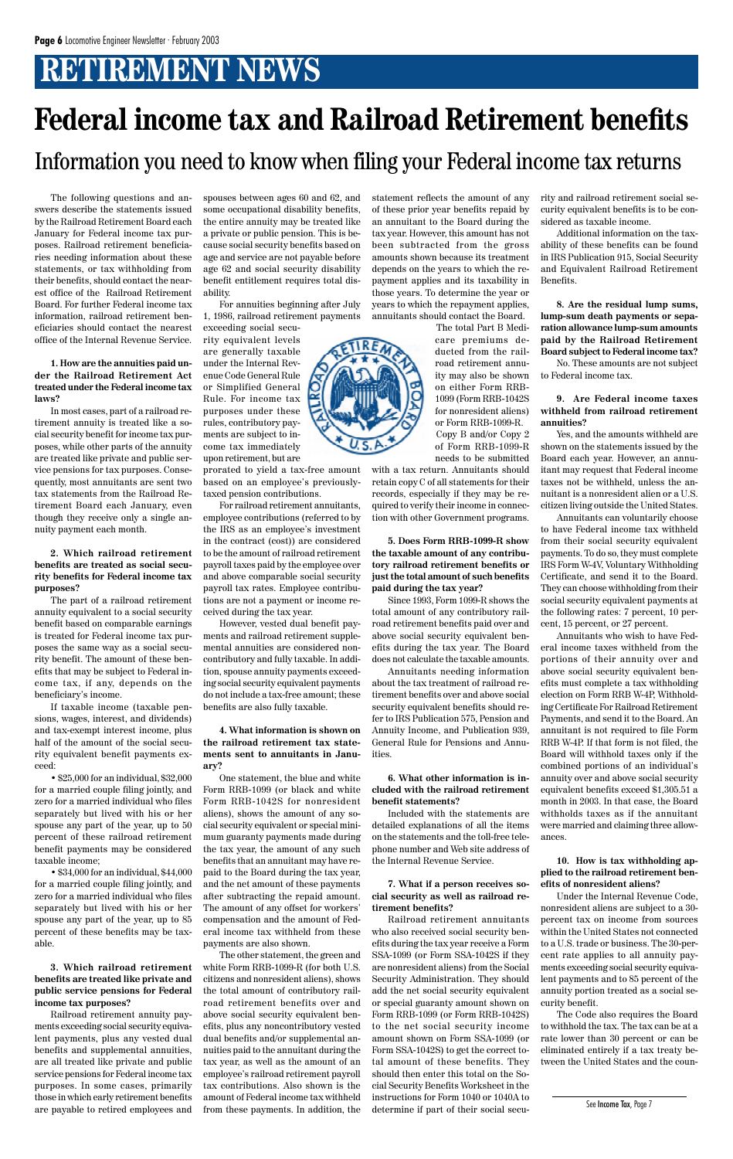# **RETIREMENT NEWS**

The following questions and answers describe the statements issued by the Railroad Retirement Board each January for Federal income tax purposes. Railroad retirement beneficiaries needing information about these statements, or tax withholding from their benefits, should contact the nearest office of the Railroad Retirement Board. For further Federal income tax information, railroad retirement beneficiaries should contact the nearest office of the Internal Revenue Service.

**1. How are the annuities paid under the Railroad Retirement Act treated under the Federal income tax laws?**

In most cases, part of a railroad retirement annuity is treated like a social security benefit for income tax purposes, while other parts of the annuity are treated like private and public service pensions for tax purposes. Consequently, most annuitants are sent two tax statements from the Railroad Retirement Board each January, even though they receive only a single annuity payment each month.

**2. Which railroad retirement benefits are treated as social security benefits for Federal income tax purposes?**

The part of a railroad retirement annuity equivalent to a social security benefit based on comparable earnings is treated for Federal income tax purposes the same way as a social security benefit. The amount of these benefits that may be subject to Federal income tax, if any, depends on the beneficiary's income.

If taxable income (taxable pensions, wages, interest, and dividends) and tax-exempt interest income, plus half of the amount of the social security equivalent benefit payments exceed:

• \$25,000 for an individual, \$32,000 for a married couple filing jointly, and zero for a married individual who files separately but lived with his or her spouse any part of the year, up to 50 percent of these railroad retirement benefit payments may be considered

taxable income;

• \$34,000 for an individual, \$44,000 for a married couple filing jointly, and zero for a married individual who files separately but lived with his or her spouse any part of the year, up to 85 percent of these benefits may be taxable.

**3. Which railroad retirement benefits are treated like private and public service pensions for Federal income tax purposes?**

Railroad retirement annuity payments exceeding social security equivalent payments, plus any vested dual benefits and supplemental annuities, are all treated like private and public service pensions for Federal income tax purposes. In some cases, primarily those in which early retirement benefits are payable to retired employees and spouses between ages 60 and 62, and some occupational disability benefits, the entire annuity may be treated like a private or public pension. This is because social security benefits based on age and service are not payable before age 62 and social security disability benefit entitlement requires total disability.

For annuities beginning after July 1, 1986, railroad retirement payments

exceeding social security equivalent levels are generally taxable under the Internal Revenue Code General Rule or Simplified General Rule. For income tax purposes under these rules, contributory payments are subject to in-

come tax immediately upon retirement, but are prorated to yield a tax-free amount based on an employee's previously-

taxed pension contributions. For railroad retirement annuitants, employee contributions (referred to by the IRS as an employee's investment in the contract (cost)) are considered to be the amount of railroad retirement payroll taxes paid by the employee over and above comparable social security payroll tax rates. Employee contributions are not a payment or income received during the tax year.

However, vested dual benefit payments and railroad retirement supplemental annuities are considered noncontributory and fully taxable. In addition, spouse annuity payments exceeding social security equivalent payments do not include a tax-free amount; these benefits are also fully taxable.

**4. What information is shown on the railroad retirement tax statements sent to annuitants in January?**

One statement, the blue and white Form RRB-1099 (or black and white Form RRB-1042S for nonresident aliens), shows the amount of any social security equivalent or special minimum guaranty payments made during the tax year, the amount of any such benefits that an annuitant may have repaid to the Board during the tax year, and the net amount of these payments after subtracting the repaid amount. The amount of any offset for workers' compensation and the amount of Federal income tax withheld from these payments are also shown. The other statement, the green and white Form RRB-1099-R (for both U.S. citizens and nonresident aliens), shows the total amount of contributory railroad retirement benefits over and above social security equivalent benefits, plus any noncontributory vested dual benefits and/or supplemental annuities paid to the annuitant during the tax year, as well as the amount of an employee's railroad retirement payroll tax contributions. Also shown is the amount of Federal income tax withheld from these payments. In addition, the

statement reflects the amount of any of these prior year benefits repaid by an annuitant to the Board during the tax year. However, this amount has not been subtracted from the gross amounts shown because its treatment depends on the years to which the repayment applies and its taxability in those years. To determine the year or years to which the repayment applies, annuitants should contact the Board.

The total Part B Medicare premiums deducted from the railroad retirement annuity may also be shown on either Form RRB-1099 (Form RRB-1042S for nonresident aliens) or Form RRB-1099-R. Copy B and/or Copy 2 of Form RRB-1099-R needs to be submitted

with a tax return. Annuitants should retain copy C of all statements for their records, especially if they may be required to verify their income in connection with other Government programs.

**5. Does Form RRB-1099-R show the taxable amount of any contributory railroad retirement benefits or just the total amount of such benefits paid during the tax year?**

Since 1993, Form 1099-R shows the total amount of any contributory railroad retirement benefits paid over and above social security equivalent benefits during the tax year. The Board does not calculate the taxable amounts.

Annuitants needing information about the tax treatment of railroad retirement benefits over and above social security equivalent benefits should refer to IRS Publication 575, Pension and Annuity Income, and Publication 939, General Rule for Pensions and Annuities.

**6. What other information is included with the railroad retirement benefit statements?**

Included with the statements are detailed explanations of all the items on the statements and the toll-free telephone number and Web site address of

the Internal Revenue Service.

**7. What if a person receives social security as well as railroad retirement benefits?**

Railroad retirement annuitants who also received social security benefits during the tax year receive a Form SSA-1099 (or Form SSA-1042S if they are nonresident aliens) from the Social Security Administration. They should add the net social security equivalent or special guaranty amount shown on Form RRB-1099 (or Form RRB-1042S) to the net social security income amount shown on Form SSA-1099 (or Form SSA-1042S) to get the correct total amount of these benefits. They should then enter this total on the Social Security Benefits Worksheet in the instructions for Form 1040 or 1040A to determine if part of their social security and railroad retirement social security equivalent benefits is to be considered as taxable income.

Additional information on the taxability of these benefits can be found in IRS Publication 915, Social Security and Equivalent Railroad Retirement Benefits.

**8. Are the residual lump sums, lump-sum death payments or separation allowance lump-sum amounts paid by the Railroad Retirement Board subject to Federal income tax?**

No. These amounts are not subject to Federal income tax.

**9. Are Federal income taxes withheld from railroad retirement annuities?**

Yes, and the amounts withheld are shown on the statements issued by the Board each year. However, an annuitant may request that Federal income taxes not be withheld, unless the annuitant is a nonresident alien or a U.S. citizen living outside the United States.

Annuitants can voluntarily choose to have Federal income tax withheld from their social security equivalent payments. To do so, they must complete IRS Form W-4V, Voluntary Withholding Certificate, and send it to the Board. They can choose withholding from their social security equivalent payments at the following rates: 7 percent, 10 percent, 15 percent, or 27 percent.

Annuitants who wish to have Federal income taxes withheld from the portions of their annuity over and above social security equivalent benefits must complete a tax withholding election on Form RRB W-4P, Withholding Certificate For Railroad Retirement Payments, and send it to the Board. An annuitant is not required to file Form RRB W-4P. If that form is not filed, the Board will withhold taxes only if the combined portions of an individual's annuity over and above social security equivalent benefits exceed \$1,305.51 a month in 2003. In that case, the Board withholds taxes as if the annuitant were married and claiming three allowances.



**10. How is tax withholding applied to the railroad retirement benefits of nonresident aliens?**

Under the Internal Revenue Code, nonresident aliens are subject to a 30 percent tax on income from sources within the United States not connected to a U.S. trade or business. The 30-percent rate applies to all annuity payments exceeding social security equivalent payments and to 85 percent of the annuity portion treated as a social security benefit.

The Code also requires the Board to withhold the tax. The tax can be at a rate lower than 30 percent or can be eliminated entirely if a tax treaty between the United States and the coun-

See Income Tax, Page 7

# **Federal income tax and Railroad Retirement benefits** Information you need to know when filing your Federal income tax returns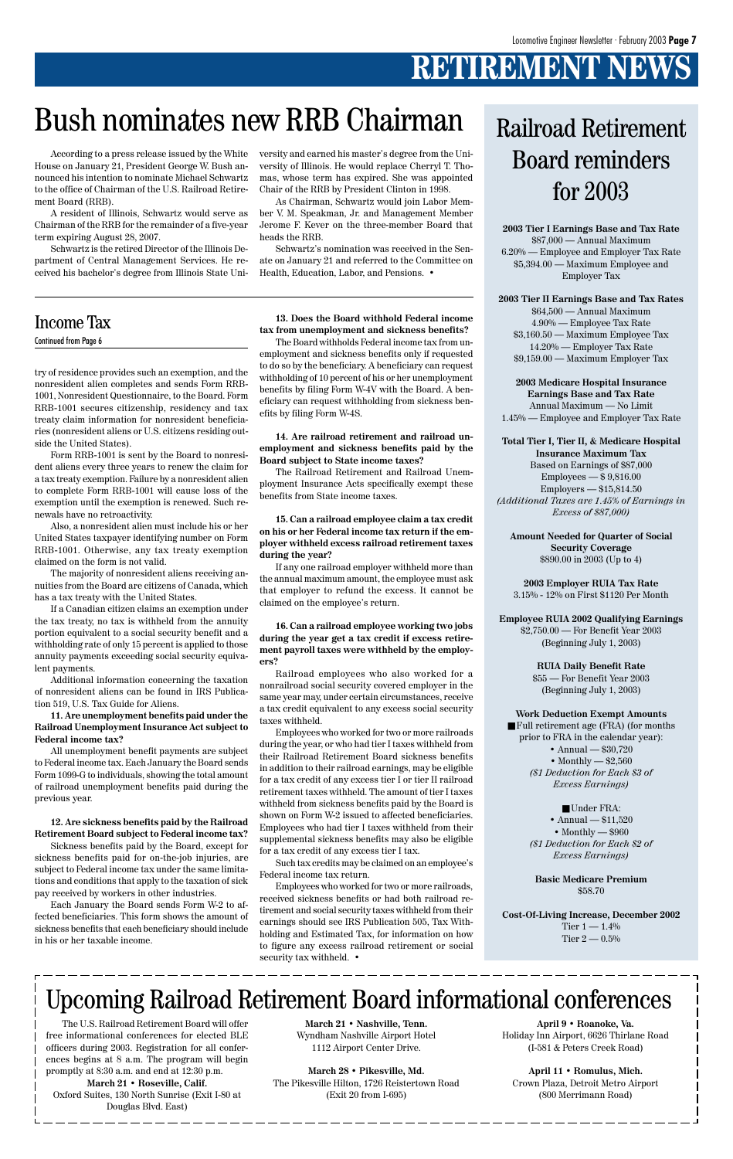# **RETIREMENT NEWS**

try of residence provides such an exemption, and the nonresident alien completes and sends Form RRB-1001, Nonresident Questionnaire, to the Board. Form RRB-1001 secures citizenship, residency and tax treaty claim information for nonresident beneficiaries (nonresident aliens or U.S. citizens residing outside the United States).

Form RRB-1001 is sent by the Board to nonresident aliens every three years to renew the claim for a tax treaty exemption. Failure by a nonresident alien to complete Form RRB-1001 will cause loss of the exemption until the exemption is renewed. Such renewals have no retroactivity.

Also, a nonresident alien must include his or her United States taxpayer identifying number on Form RRB-1001. Otherwise, any tax treaty exemption claimed on the form is not valid.

The majority of nonresident aliens receiving annuities from the Board are citizens of Canada, which has a tax treaty with the United States.

If a Canadian citizen claims an exemption under the tax treaty, no tax is withheld from the annuity portion equivalent to a social security benefit and a withholding rate of only 15 percent is applied to those annuity payments exceeding social security equivalent payments.

Additional information concerning the taxation of nonresident aliens can be found in IRS Publication 519, U.S. Tax Guide for Aliens.

**11. Are unemployment benefits paid under the Railroad Unemployment Insurance Act subject to Federal income tax?**

All unemployment benefit payments are subject to Federal income tax. Each January the Board sends Form 1099-G to individuals, showing the total amount of railroad unemployment benefits paid during the previous year.

**12. Are sickness benefits paid by the Railroad Retirement Board subject to Federal income tax?** Sickness benefits paid by the Board, except for

sickness benefits paid for on-the-job injuries, are subject to Federal income tax under the same limitations and conditions that apply to the taxation of sick pay received by workers in other industries.

Employees who worked for two or more railroads, received sickness benefits or had both railroad retirement and social security taxes withheld from their earnings should see IRS Publication 505, Tax Withholding and Estimated Tax, for information on how to figure any excess railroad retirement or social security tax withheld. •

Each January the Board sends Form W-2 to affected beneficiaries. This form shows the amount of sickness benefits that each beneficiary should include in his or her taxable income.

**13. Does the Board withhold Federal income tax from unemployment and sickness benefits?**

The Board withholds Federal income tax from unemployment and sickness benefits only if requested to do so by the beneficiary. A beneficiary can request withholding of 10 percent of his or her unemployment benefits by filing Form W-4V with the Board. A beneficiary can request withholding from sickness benefits by filing Form W-4S.

**14. Are railroad retirement and railroad unemployment and sickness benefits paid by the Board subject to State income taxes?**

The Railroad Retirement and Railroad Unemployment Insurance Acts specifically exempt these benefits from State income taxes.

> ■ Full retirement age (FRA) (for months prior to FRA in the calendar year): • Annual — \$30,720 • Monthly — \$2,560 *(\$1 Deduction for Each \$3 of Excess Earnings)*

> > ■ Under FRA: • Annual — \$11,520 • Monthly — \$960 *(\$1 Deduction for Each \$2 of*

**Cost-Of-Living Increase, December 2002** Tier  $1 - 1.4\%$ Tier  $2 - 0.5\%$ 

**15. Can a railroad employee claim a tax credit on his or her Federal income tax return if the employer withheld excess railroad retirement taxes during the year?**

If any one railroad employer withheld more than the annual maximum amount, the employee must ask that employer to refund the excess. It cannot be claimed on the employee's return.

**16. Can a railroad employee working two jobs during the year get a tax credit if excess retirement payroll taxes were withheld by the employers?**

Railroad employees who also worked for a nonrailroad social security covered employer in the same year may, under certain circumstances, receive a tax credit equivalent to any excess social security taxes withheld.

Employees who worked for two or more railroads during the year, or who had tier I taxes withheld from their Railroad Retirement Board sickness benefits in addition to their railroad earnings, may be eligible for a tax credit of any excess tier I or tier II railroad retirement taxes withheld. The amount of tier I taxes withheld from sickness benefits paid by the Board is shown on Form W-2 issued to affected beneficiaries. Employees who had tier I taxes withheld from their supplemental sickness benefits may also be eligible for a tax credit of any excess tier I tax.

Such tax credits may be claimed on an employee's Federal income tax return.

**2003 Tier I Earnings Base and Tax Rate** \$87,000 — Annual Maximum 6.20% — Employee and Employer Tax Rate \$5,394.00 — Maximum Employee and Employer Tax

#### **2003 Tier II Earnings Base and Tax Rates**

\$64,500 — Annual Maximum 4.90% — Employee Tax Rate \$3,160.50 — Maximum Employee Tax 14.20% — Employer Tax Rate \$9,159.00 — Maximum Employer Tax

**2003 Medicare Hospital Insurance Earnings Base and Tax Rate** Annual Maximum — No Limit 1.45% — Employee and Employer Tax Rate

**Total Tier I, Tier II, & Medicare Hospital**

**Insurance Maximum Tax** Based on Earnings of \$87,000 Employees — \$ 9,816.00 Employers — \$15,814.50 *(Additional Taxes are 1.45% of Earnings in Excess of \$87,000)*

**Amount Needed for Quarter of Social Security Coverage** \$890.00 in 2003 (Up to 4)

**2003 Employer RUIA Tax Rate** 3.15% - 12% on First \$1120 Per Month

**Employee RUIA 2002 Qualifying Earnings** \$2,750.00 — For Benefit Year 2003 (Beginning July 1, 2003)

**RUIA Daily Benefit Rate**

\$55 — For Benefit Year 2003 (Beginning July 1, 2003)

**Work Deduction Exempt Amounts**

#### *Excess Earnings)*

**Basic Medicare Premium** \$58.70

### Railroad Retirement Board reminders for 2003

### Income Tax

Continued from Page 6

According to a press release issued by the White House on January 21, President George W. Bush announced his intention to nominate Michael Schwartz to the office of Chairman of the U.S. Railroad Retirement Board (RRB).

A resident of Illinois, Schwartz would serve as Chairman of the RRB for the remainder of a five-year term expiring August 28, 2007.

Schwartz is the retired Director of the Illinois Department of Central Management Services. He received his bachelor's degree from Illinois State Uni-

versity and earned his master's degree from the University of Illinois. He would replace Cherryl T. Thomas, whose term has expired. She was appointed Chair of the RRB by President Clinton in 1998.

As Chairman, Schwartz would join Labor Member V. M. Speakman, Jr. and Management Member Jerome F. Kever on the three-member Board that heads the RRB.

Schwartz's nomination was received in the Senate on January 21 and referred to the Committee on Health, Education, Labor, and Pensions. •

# Bush nominates new RRB Chairman

### Upcoming Railroad Retirement Board informational conferences

The U.S. Railroad Retirement Board will offer free informational conferences for elected BLE officers during 2003. Registration for all conferences begins at 8 a.m. The program will begin promptly at 8:30 a.m. and end at 12:30 p.m.

**March 21 • Roseville, Calif.** Oxford Suites, 130 North Sunrise (Exit I-80 at Douglas Blvd. East)

**March 21 • Nashville, Tenn.** Wyndham Nashville Airport Hotel 1112 Airport Center Drive.

**March 28 • Pikesville, Md.** The Pikesville Hilton, 1726 Reistertown Road (Exit 20 from I-695)

**April 9 • Roanoke, Va.** Holiday Inn Airport, 6626 Thirlane Road (I-581 & Peters Creek Road)

#### **April 11 • Romulus, Mich.** Crown Plaza, Detroit Metro Airport (800 Merrimann Road)